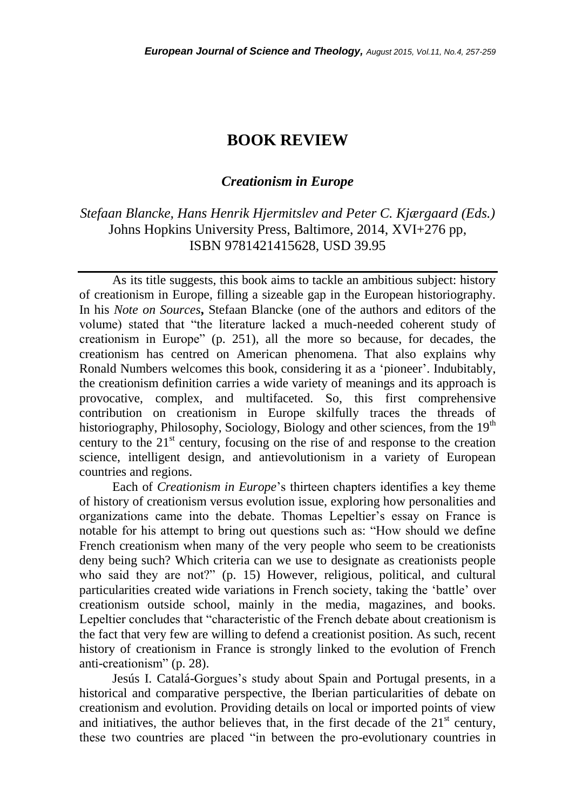## **BOOK REVIEW**

## *Creationism in Europe*

## *Stefaan Blancke, Hans Henrik Hjermitslev and Peter C. Kjærgaard (Eds.)* Johns Hopkins University Press, Baltimore, 2014, XVI+276 pp, ISBN 9781421415628, USD 39.95

As its title suggests, this book aims to tackle an ambitious subject: history of creationism in Europe, filling a sizeable gap in the European historiography. In his *Note on Sources***,** Stefaan Blancke (one of the authors and editors of the volume) stated that "the literature lacked a much-needed coherent study of creationism in Europe" (p. 251), all the more so because, for decades, the creationism has centred on American phenomena. That also explains why Ronald Numbers welcomes this book, considering it as a "pioneer". Indubitably, the creationism definition carries a wide variety of meanings and its approach is provocative, complex, and multifaceted. So, this first comprehensive contribution on creationism in Europe skilfully traces the threads of historiography, Philosophy, Sociology, Biology and other sciences, from the 19<sup>th</sup> century to the  $21<sup>st</sup>$  century, focusing on the rise of and response to the creation science, intelligent design, and antievolutionism in a variety of European countries and regions.

Each of *Creationism in Europe*"s thirteen chapters identifies a key theme of history of creationism versus evolution issue, exploring how personalities and organizations came into the debate. Thomas Lepeltier"s essay on France is notable for his attempt to bring out questions such as: "How should we define French creationism when many of the very people who seem to be creationists deny being such? Which criteria can we use to designate as creationists people who said they are not?" (p. 15) However, religious, political, and cultural particularities created wide variations in French society, taking the "battle" over creationism outside school, mainly in the media, magazines, and books. Lepeltier concludes that "characteristic of the French debate about creationism is the fact that very few are willing to defend a creationist position. As such, recent history of creationism in France is strongly linked to the evolution of French anti-creationism" (p. 28).

Jesús I. Catalá-Gorgues's study about Spain and Portugal presents, in a historical and comparative perspective, the Iberian particularities of debate on creationism and evolution. Providing details on local or imported points of view and initiatives, the author believes that, in the first decade of the  $21<sup>st</sup>$  century, these two countries are placed "in between the pro-evolutionary countries in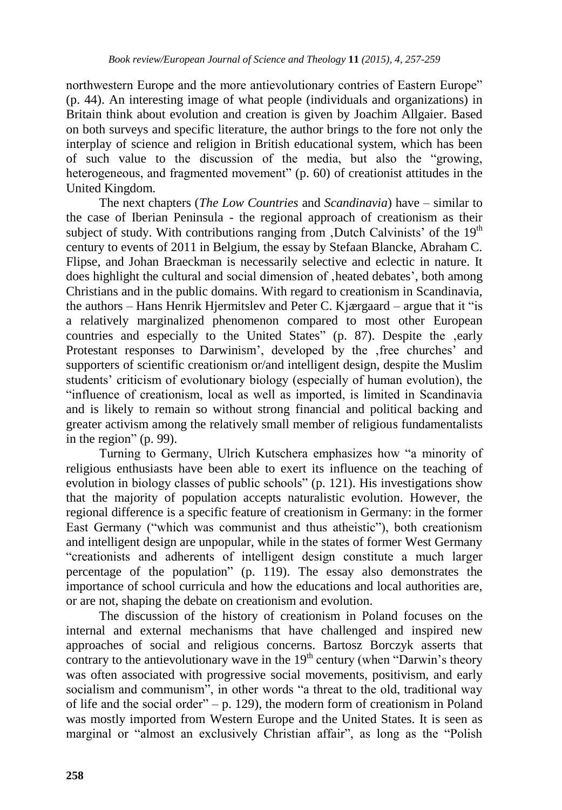northwestern Europe and the more antievolutionary contries of Eastern Europe" (p. 44). An interesting image of what people (individuals and organizations) in Britain think about evolution and creation is given by Joachim Allgaier. Based on both surveys and specific literature, the author brings to the fore not only the interplay of science and religion in British educational system, which has been of such value to the discussion of the media, but also the "growing, heterogeneous, and fragmented movement" (p. 60) of creationist attitudes in the United Kingdom.

The next chapters (*The Low Countries* and *Scandinavia*) have – similar to the case of Iberian Peninsula - the regional approach of creationism as their subject of study. With contributions ranging from  $D$ utch Calvinists' of the 19<sup>th</sup> century to events of 2011 in Belgium, the essay by Stefaan Blancke, Abraham C. Flipse, and Johan Braeckman is necessarily selective and eclectic in nature. It does highlight the cultural and social dimension of , heated debates', both among Christians and in the public domains. With regard to creationism in Scandinavia, the authors – Hans Henrik Hjermitslev and Peter C. Kjærgaard – argue that it "is a relatively marginalized phenomenon compared to most other European countries and especially to the United States" (p. 87). Despite the early Protestant responses to Darwinism', developed by the free churches' and supporters of scientific creationism or/and intelligent design, despite the Muslim students' criticism of evolutionary biology (especially of human evolution), the "influence of creationism, local as well as imported, is limited in Scandinavia and is likely to remain so without strong financial and political backing and greater activism among the relatively small member of religious fundamentalists in the region" (p. 99).

Turning to Germany, Ulrich Kutschera emphasizes how "a minority of religious enthusiasts have been able to exert its influence on the teaching of evolution in biology classes of public schools" (p. 121). His investigations show that the majority of population accepts naturalistic evolution. However, the regional difference is a specific feature of creationism in Germany: in the former East Germany ("which was communist and thus atheistic"), both creationism and intelligent design are unpopular, while in the states of former West Germany "creationists and adherents of intelligent design constitute a much larger percentage of the population" (p. 119). The essay also demonstrates the importance of school curricula and how the educations and local authorities are, or are not, shaping the debate on creationism and evolution.

The discussion of the history of creationism in Poland focuses on the internal and external mechanisms that have challenged and inspired new approaches of social and religious concerns. Bartosz Borczyk asserts that contrary to the antievolutionary wave in the  $19<sup>th</sup>$  century (when "Darwin's theory was often associated with progressive social movements, positivism, and early socialism and communism", in other words "a threat to the old, traditional way of life and the social order" – p. 129), the modern form of creationism in Poland was mostly imported from Western Europe and the United States. It is seen as marginal or "almost an exclusively Christian affair", as long as the "Polish